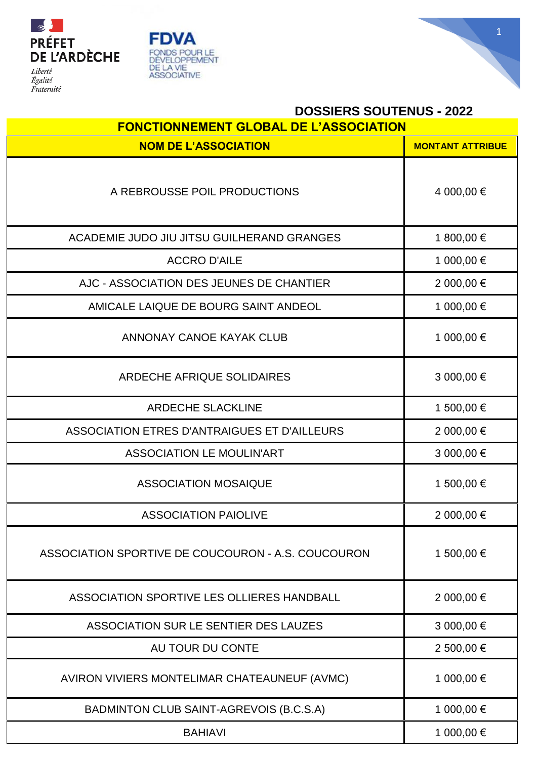





| <b>DOSSIERS SOUTENUS - 2022</b>                    |                         |  |
|----------------------------------------------------|-------------------------|--|
| <b>FONCTIONNEMENT GLOBAL DE L'ASSOCIATION</b>      |                         |  |
| <b>NOM DE L'ASSOCIATION</b>                        | <b>MONTANT ATTRIBUE</b> |  |
| A REBROUSSE POIL PRODUCTIONS                       | 4 000,00 €              |  |
| ACADEMIE JUDO JIU JITSU GUILHERAND GRANGES         | 1 800,00 €              |  |
| <b>ACCRO D'AILE</b>                                | 1 000,00 €              |  |
| AJC - ASSOCIATION DES JEUNES DE CHANTIER           | 2 000,00 €              |  |
| AMICALE LAIQUE DE BOURG SAINT ANDEOL               | 1 000,00 €              |  |
| ANNONAY CANOE KAYAK CLUB                           | 1 000,00 €              |  |
| <b>ARDECHE AFRIQUE SOLIDAIRES</b>                  | 3 000,00 €              |  |
| <b>ARDECHE SLACKLINE</b>                           | 1 500,00 €              |  |
| ASSOCIATION ETRES D'ANTRAIGUES ET D'AILLEURS       | 2 000,00 €              |  |
| <b>ASSOCIATION LE MOULIN'ART</b>                   | 3 000,00 €              |  |
| <b>ASSOCIATION MOSAIQUE</b>                        | 1 500,00 €              |  |
| <b>ASSOCIATION PAIOLIVE</b>                        | 2 000,00 €              |  |
| ASSOCIATION SPORTIVE DE COUCOURON - A.S. COUCOURON | 1 500,00 €              |  |
| ASSOCIATION SPORTIVE LES OLLIERES HANDBALL         | 2 000,00 €              |  |
| ASSOCIATION SUR LE SENTIER DES LAUZES              | 3 000,00 €              |  |
| AU TOUR DU CONTE                                   | 2 500,00 €              |  |
| AVIRON VIVIERS MONTELIMAR CHATEAUNEUF (AVMC)       | 1 000,00 €              |  |
| BADMINTON CLUB SAINT-AGREVOIS (B.C.S.A)            | 1 000,00 €              |  |
| <b>BAHIAVI</b>                                     | 1 000,00 €              |  |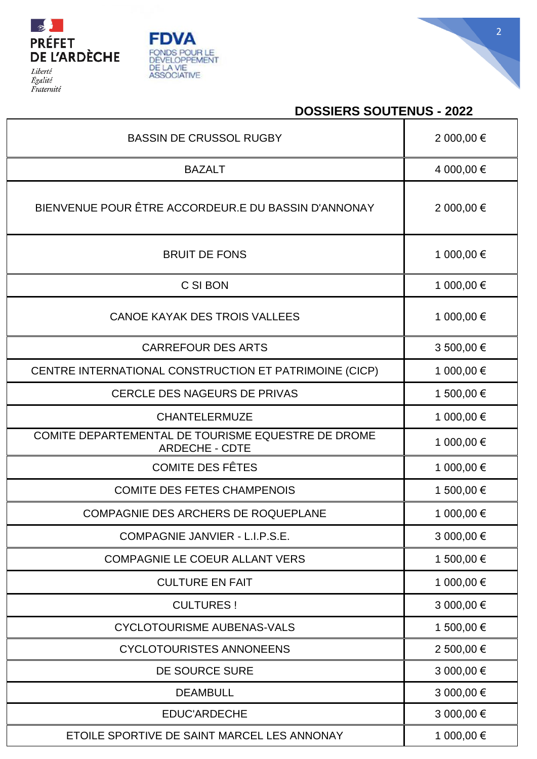





## **DOSSIERS SOUTENUS - 2022**

| <b>BASSIN DE CRUSSOL RUGBY</b>                                              | 2 000,00 € |
|-----------------------------------------------------------------------------|------------|
| <b>BAZALT</b>                                                               | 4 000,00 € |
| BIENVENUE POUR ÊTRE ACCORDEUR.E DU BASSIN D'ANNONAY                         | 2 000,00 € |
| <b>BRUIT DE FONS</b>                                                        | 1 000,00 € |
| C SI BON                                                                    | 1 000,00 € |
| CANOE KAYAK DES TROIS VALLEES                                               | 1 000,00 € |
| <b>CARREFOUR DES ARTS</b>                                                   | 3 500,00 € |
| CENTRE INTERNATIONAL CONSTRUCTION ET PATRIMOINE (CICP)                      | 1 000,00 € |
| <b>CERCLE DES NAGEURS DE PRIVAS</b>                                         | 1 500,00 € |
| <b>CHANTELERMUZE</b>                                                        | 1 000,00 € |
| COMITE DEPARTEMENTAL DE TOURISME EQUESTRE DE DROME<br><b>ARDECHE - CDTE</b> | 1 000,00 € |
| <b>COMITE DES FÊTES</b>                                                     | 1 000,00 € |
| <b>COMITE DES FETES CHAMPENOIS</b>                                          | 1 500,00 € |
| <b>COMPAGNIE DES ARCHERS DE ROQUEPLANE</b>                                  | 1 000,00 € |
| COMPAGNIE JANVIER - L.I.P.S.E.                                              | 3 000,00 € |
| <b>COMPAGNIE LE COEUR ALLANT VERS</b>                                       | 1 500,00 € |
| <b>CULTURE EN FAIT</b>                                                      | 1 000,00 € |
| <b>CULTURES!</b>                                                            | 3 000,00 € |
| <b>CYCLOTOURISME AUBENAS-VALS</b>                                           | 1 500,00 € |
| <b>CYCLOTOURISTES ANNONEENS</b>                                             | 2 500,00 € |
| DE SOURCE SURE                                                              | 3 000,00 € |
| <b>DEAMBULL</b>                                                             | 3 000,00 € |
| <b>EDUC'ARDECHE</b>                                                         | 3 000,00 € |
| ETOILE SPORTIVE DE SAINT MARCEL LES ANNONAY                                 | 1 000,00 € |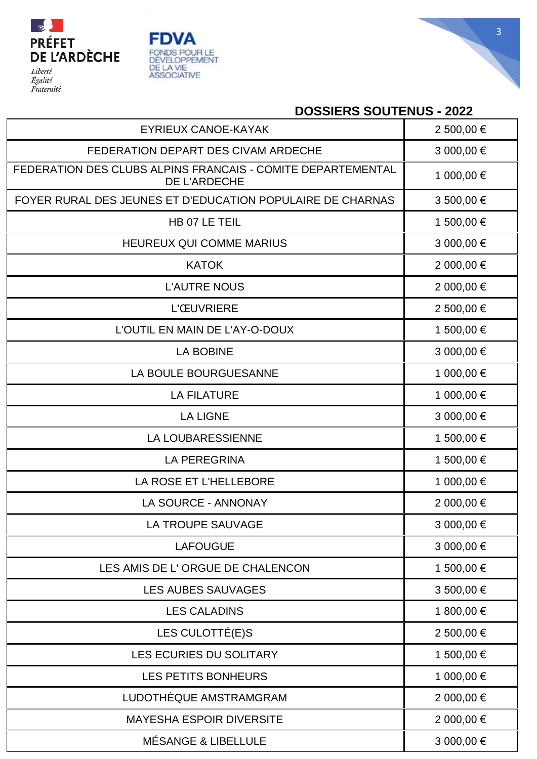





## **DOSSIERS SOUTENUS - 2022**

| <b>EYRIEUX CANOE-KAYAK</b>                                                  | 2 500,00 € |
|-----------------------------------------------------------------------------|------------|
| FEDERATION DEPART DES CIVAM ARDECHE                                         | 3 000,00 € |
| FEDERATION DES CLUBS ALPINS FRANCAIS - COMITE DEPARTEMENTAL<br>DE L'ARDECHE | 1 000,00 € |
| FOYER RURAL DES JEUNES ET D'EDUCATION POPULAIRE DE CHARNAS                  | 3 500,00 € |
| HB 07 LE TEIL                                                               | 1 500,00 € |
| <b>HEUREUX QUI COMME MARIUS</b>                                             | 3 000,00 € |
| <b>KATOK</b>                                                                | 2 000,00 € |
| <b>L'AUTRE NOUS</b>                                                         | 2 000,00 € |
| <b>L'ŒUVRIERE</b>                                                           | 2 500,00 € |
| L'OUTIL EN MAIN DE L'AY-O-DOUX                                              | 1 500,00 € |
| <b>LA BOBINE</b>                                                            | 3 000,00 € |
| LA BOULE BOURGUESANNE                                                       | 1 000,00 € |
| <b>LA FILATURE</b>                                                          | 1 000,00 € |
| <b>LA LIGNE</b>                                                             | 3 000,00 € |
| <b>LA LOUBARESSIENNE</b>                                                    | 1 500,00 € |
| <b>LA PEREGRINA</b>                                                         | 1 500,00 € |
| LA ROSE ET L'HELLEBORE                                                      | 1 000,00 € |
| LA SOURCE - ANNONAY                                                         | 2 000,00 € |
| LA TROUPE SAUVAGE                                                           | 3 000,00 € |
| <b>LAFOUGUE</b>                                                             | 3 000,00 € |
| LES AMIS DE L'ORGUE DE CHALENCON                                            | 1 500,00 € |
| <b>LES AUBES SAUVAGES</b>                                                   | 3 500,00 € |
| <b>LES CALADINS</b>                                                         | 1 800,00 € |
| LES CULOTTÉ(E)S                                                             | 2 500,00 € |
| LES ECURIES DU SOLITARY                                                     | 1 500,00 € |
| LES PETITS BONHEURS                                                         | 1 000,00 € |
| LUDOTHÈQUE AMSTRAMGRAM                                                      | 2 000,00 € |
| <b>MAYESHA ESPOIR DIVERSITE</b>                                             | 2 000,00 € |
| MÉSANGE & LIBELLULE                                                         | 3 000,00 € |